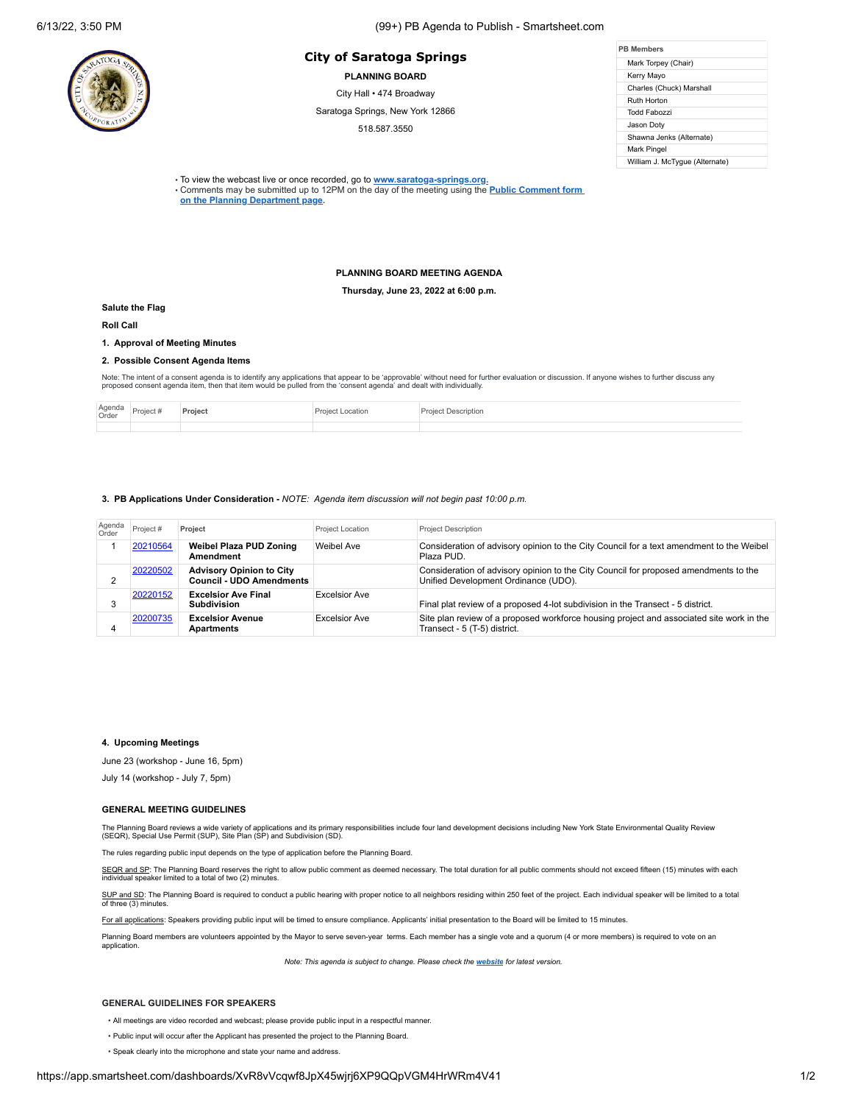# **PB Members City of Saratoga Springs**

**PLANNING BOARD**

City Hall • 474 Broadway

Saratoga Springs, New York 12866

518.587.3550

| <b>PR Members</b>              |  |  |  |  |
|--------------------------------|--|--|--|--|
| Mark Torpey (Chair)            |  |  |  |  |
| Kerry Mayo                     |  |  |  |  |
| Charles (Chuck) Marshall       |  |  |  |  |
| Ruth Horton                    |  |  |  |  |
| Todd Fabozzi                   |  |  |  |  |
| Jason Doty                     |  |  |  |  |
| Shawna Jenks (Alternate)       |  |  |  |  |
| Mark Pingel                    |  |  |  |  |
| William J. McTygue (Alternate) |  |  |  |  |

• To view the webcast live or once recorded, go to **[www.saratoga-springs.org](http://www.saratoga-springs.org/).**

• Comments may be submitted [up to 12PM on the day of the meeting using the](https://saratoga-springs.org/FormCenter/Planning-Board-8/Land-Use-Board-Agenda-Public-Comment-95) **Public Comment form on the Planning Department page.**

### **PLANNING BOARD MEETING AGENDA**

**Thursday, June 23, 2022 at 6:00 p.m.**

#### **Salute the Flag**

**Roll Call**

# **1. Approval of Meeting Minutes**

#### **2. Possible Consent Agenda Items**

Note: The intent of a consent agenda is to identify any applications that appear to be 'approvable' without need for further evaluation or discussion. If anyone wishes to further discuss any<br>proposed consent agenda item, t

| Agenda<br>Order | ujuri v | Catic».<br>. |  |
|-----------------|---------|--------------|--|
|                 |         |              |  |

#### **3. PB Applications Under Consideration -** *NOTE: Agenda item discussion will not begin past 10:00 p.m.*

| Agenda<br>Order | Project # | Project                                                            | Project Location     | <b>Project Description</b>                                                                                                   |
|-----------------|-----------|--------------------------------------------------------------------|----------------------|------------------------------------------------------------------------------------------------------------------------------|
|                 | 20210564  | <b>Weibel Plaza PUD Zoning</b><br>Amendment                        | Weibel Ave           | Consideration of advisory opinion to the City Council for a text amendment to the Weibel<br>Plaza PUD.                       |
|                 | 20220502  | <b>Advisory Opinion to City</b><br><b>Council - UDO Amendments</b> |                      | Consideration of advisory opinion to the City Council for proposed amendments to the<br>Unified Development Ordinance (UDO). |
|                 | 20220152  | <b>Excelsior Ave Final</b><br><b>Subdivision</b>                   | <b>Excelsior Ave</b> | Final plat review of a proposed 4-lot subdivision in the Transect - 5 district.                                              |
| 4               | 20200735  | <b>Excelsior Avenue</b><br>Apartments                              | <b>Excelsior Ave</b> | Site plan review of a proposed workforce housing project and associated site work in the<br>Transect - 5 (T-5) district.     |

## **4. Upcoming Meetings**

June 23 (workshop - June 16, 5pm)

July 14 (workshop - July 7, 5pm)

#### **GENERAL MEETING GUIDELINES**

The Planning Board reviews a wide variety of applications and its primary responsibilities include four land development decisions including New York State Environmental Quality Review<br>(SEQR), Special Use Permit (SUP), Sit

The rules regarding public input depends on the type of application before the Planning Board.

SEQR and SP: The Planning Board reserves the right to allow public comment as deemed necessary. The total duration for all public comments should not exceed fifteen (15) minutes with each individual speaker limited to a total of two (2) minutes.

SUP and SD: The Planning Board is required to conduct a public hearing with proper notice to all neighbors residing within 250 feet of the project. Each individual speaker will be limited to a total of three (3) minutes.

For all applications: Speakers providing public input will be timed to ensure compliance. Applicants' initial presentation to the Board will be limited to 15 minutes.

Planning Board members are volunteers appointed by the Mayor to serve seven-year terms. Each member has a single vote and a quorum (4 or more members) is required to vote on an application.

*Note: This agenda is subject to change. Please check the [website](https://saratoga-springs.org/AgendaCenter/ViewFile/Agenda/2604?html=true) for latest version.*

#### **GENERAL GUIDELINES FOR SPEAKERS**

- All meetings are video recorded and webcast; please provide public input in a respectful manner.
- Public input will occur after the Applicant has presented the project to the Planning Board.
- Speak clearly into the microphone and state your name and address.